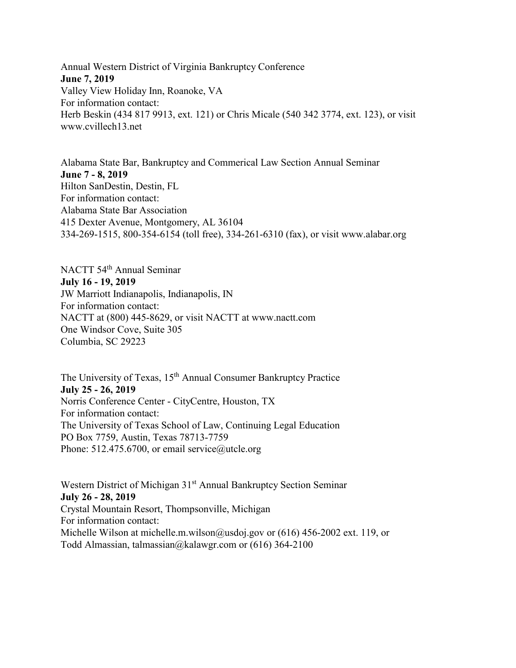Annual Western District of Virginia Bankruptcy Conference **June 7, 2019** Valley View Holiday Inn, Roanoke, VA For information contact: Herb Beskin (434 817 9913, ext. 121) or Chris Micale (540 342 3774, ext. 123), or visit www.cvillech13.net

Alabama State Bar, Bankruptcy and Commerical Law Section Annual Seminar **June 7 - 8, 2019** Hilton SanDestin, Destin, FL For information contact: Alabama State Bar Association 415 Dexter Avenue, Montgomery, AL 36104 334-269-1515, 800-354-6154 (toll free), 334-261-6310 (fax), or visit www.alabar.org

NACTT 54th Annual Seminar **July 16 - 19, 2019** JW Marriott Indianapolis, Indianapolis, IN For information contact: NACTT at (800) 445-8629, or visit NACTT at www.nactt.com One Windsor Cove, Suite 305 Columbia, SC 29223

The University of Texas, 15<sup>th</sup> Annual Consumer Bankruptcy Practice **July 25 - 26, 2019** Norris Conference Center - CityCentre, Houston, TX For information contact: The University of Texas School of Law, Continuing Legal Education PO Box 7759, Austin, Texas 78713-7759 Phone: 512.475.6700, or email service@utcle.org

Western District of Michigan 31<sup>st</sup> Annual Bankruptcy Section Seminar **July 26 - 28, 2019** Crystal Mountain Resort, Thompsonville, Michigan For information contact: Michelle Wilson at michelle.m.wilson@usdoj.gov or (616) 456-2002 ext. 119, or Todd Almassian, talmassian@kalawgr.com or (616) 364-2100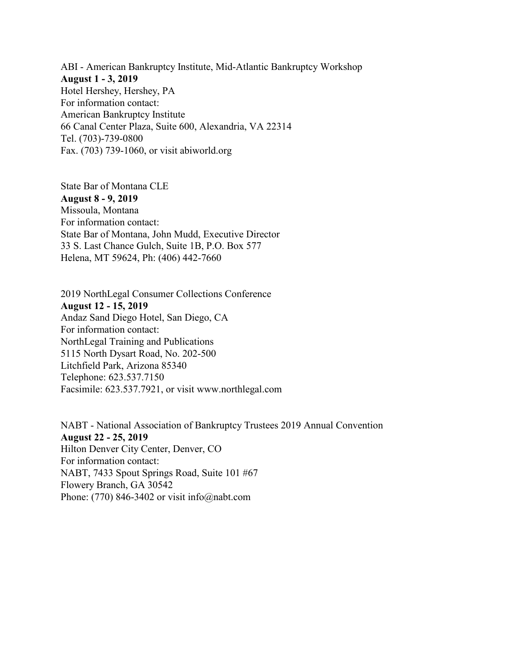ABI - American Bankruptcy Institute, Mid-Atlantic Bankruptcy Workshop **August 1 - 3, 2019** Hotel Hershey, Hershey, PA For information contact: American Bankruptcy Institute 66 Canal Center Plaza, Suite 600, Alexandria, VA 22314 Tel. (703)-739-0800 Fax. (703) 739-1060, or visit abiworld.org

State Bar of Montana CLE **August 8 - 9, 2019** Missoula, Montana For information contact: State Bar of Montana, John Mudd, Executive Director 33 S. Last Chance Gulch, Suite 1B, P.O. Box 577 Helena, MT 59624, Ph: (406) 442-7660

2019 NorthLegal Consumer Collections Conference **August 12 - 15, 2019** Andaz Sand Diego Hotel, San Diego, CA For information contact: NorthLegal Training and Publications 5115 North Dysart Road, No. 202-500 Litchfield Park, Arizona 85340 Telephone: 623.537.7150 Facsimile: 623.537.7921, or visit www.northlegal.com

NABT - National Association of Bankruptcy Trustees 2019 Annual Convention **August 22 - 25, 2019** Hilton Denver City Center, Denver, CO For information contact: NABT, 7433 Spout Springs Road, Suite 101 #67 Flowery Branch, GA 30542 Phone: (770) 846-3402 or visit info@nabt.com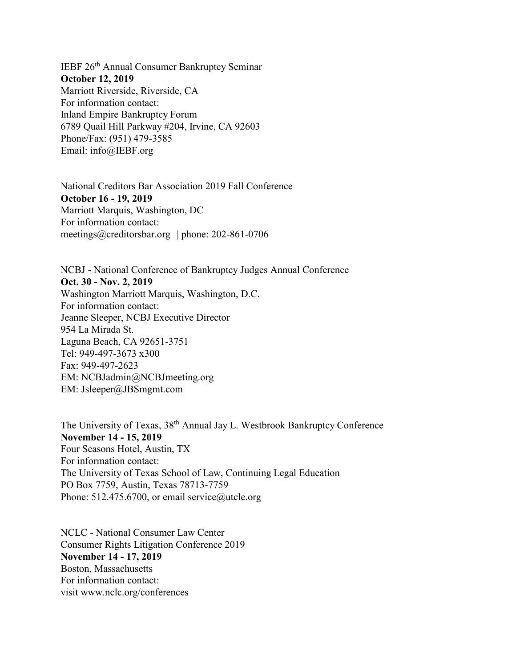IEBF 26th Annual Consumer Bankruptcy Seminar **October 12, 2019** Marriott Riverside, Riverside, CA For information contact: Inland Empire Bankruptcy Forum 6789 Quail Hill Parkway #204, Irvine, CA 92603 Phone/Fax: (951) 479-3585 Email: info@IEBF.org

National Creditors Bar Association 2019 Fall Conference **October 16 - 19, 2019** Marriott Marquis, Washington, DC For information contact: meetings@creditorsbar.org | phone: 202-861-0706

NCBJ - National Conference of Bankruptcy Judges Annual Conference **Oct. 30 - Nov. 2, 2019** Washington Marriott Marquis, Washington, D.C. For information contact: Jeanne Sleeper, NCBJ Executive Director 954 La Mirada St. Laguna Beach, CA 92651-3751 Tel: 949-497-3673 x300 Fax: 949-497-2623 EM: NCBJadmin@NCBJmeeting.org EM: Jsleeper@JBSmgmt.com

The University of Texas, 38th Annual Jay L. Westbrook Bankruptcy Conference **November 14 - 15, 2019** Four Seasons Hotel, Austin, TX For information contact: The University of Texas School of Law, Continuing Legal Education PO Box 7759, Austin, Texas 78713-7759 Phone: 512.475.6700, or email service@utcle.org

NCLC - National Consumer Law Center Consumer Rights Litigation Conference 2019 **November 14 - 17, 2019** Boston, Massachusetts For information contact: visit www.nclc.org/conferences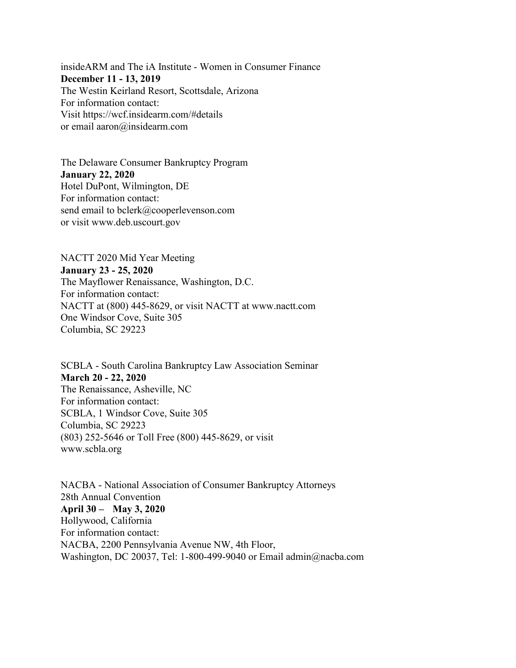insideARM and The iA Institute - Women in Consumer Finance **December 11 - 13, 2019** The Westin Keirland Resort, Scottsdale, Arizona For information contact: Visit https://wcf.insidearm.com/#details or email aaron@insidearm.com

The Delaware Consumer Bankruptcy Program **January 22, 2020**  Hotel DuPont, Wilmington, DE For information contact: send email to bclerk@cooperlevenson.com or visit www.deb.uscourt.gov

NACTT 2020 Mid Year Meeting **January 23 - 25, 2020** The Mayflower Renaissance, Washington, D.C. For information contact: NACTT at (800) 445-8629, or visit NACTT at www.nactt.com One Windsor Cove, Suite 305 Columbia, SC 29223

SCBLA - South Carolina Bankruptcy Law Association Seminar **March 20 - 22, 2020** The Renaissance, Asheville, NC For information contact: SCBLA, 1 Windsor Cove, Suite 305 Columbia, SC 29223 (803) 252-5646 or Toll Free (800) 445-8629, or visit www.scbla.org

NACBA - National Association of Consumer Bankruptcy Attorneys 28th Annual Convention **April 30 – May 3, 2020** Hollywood, California For information contact: NACBA, 2200 Pennsylvania Avenue NW, 4th Floor, Washington, DC 20037, Tel: 1-800-499-9040 or Email admin@nacba.com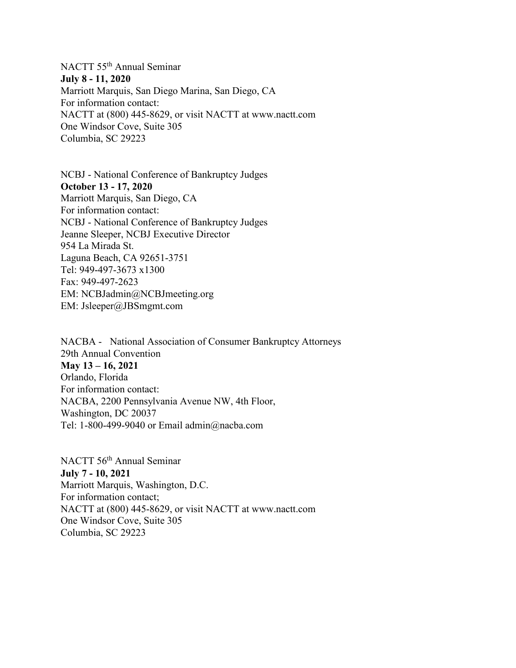## NACTT 55th Annual Seminar **July 8 - 11, 2020** Marriott Marquis, San Diego Marina, San Diego, CA For information contact: NACTT at (800) 445-8629, or visit NACTT at www.nactt.com One Windsor Cove, Suite 305 Columbia, SC 29223

NCBJ - National Conference of Bankruptcy Judges **October 13 - 17, 2020** Marriott Marquis, San Diego, CA For information contact: NCBJ - National Conference of Bankruptcy Judges Jeanne Sleeper, NCBJ Executive Director 954 La Mirada St. Laguna Beach, CA 92651-3751 Tel: 949-497-3673 x1300 Fax: 949-497-2623 EM: NCBJadmin@NCBJmeeting.org EM: Jsleeper@JBSmgmt.com

NACBA - National Association of Consumer Bankruptcy Attorneys 29th Annual Convention **May 13 – 16, 2021** Orlando, Florida For information contact: NACBA, 2200 Pennsylvania Avenue NW, 4th Floor, Washington, DC 20037 Tel: 1-800-499-9040 or Email admin@nacba.com

NACTT 56th Annual Seminar **July 7 - 10, 2021** Marriott Marquis, Washington, D.C. For information contact; NACTT at (800) 445-8629, or visit NACTT at www.nactt.com One Windsor Cove, Suite 305 Columbia, SC 29223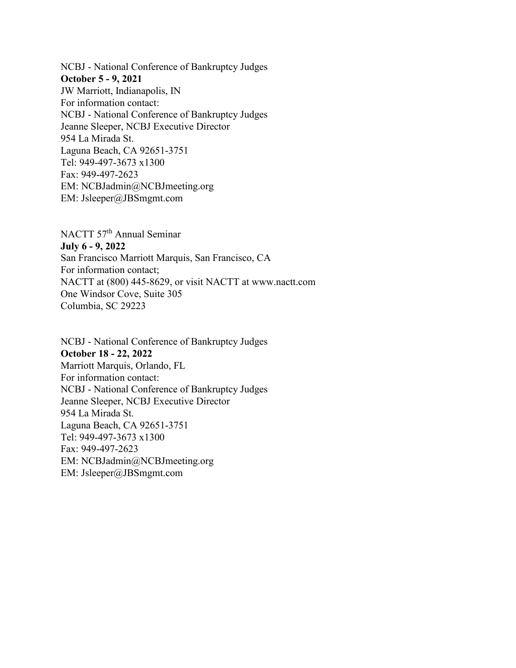NCBJ - National Conference of Bankruptcy Judges **October 5 - 9, 2021** JW Marriott, Indianapolis, IN For information contact: NCBJ - National Conference of Bankruptcy Judges Jeanne Sleeper, NCBJ Executive Director 954 La Mirada St. Laguna Beach, CA 92651-3751 Tel: 949-497-3673 x1300 Fax: 949-497-2623 EM: NCBJadmin@NCBJmeeting.org EM: Jsleeper@JBSmgmt.com

NACTT 57th Annual Seminar **July 6 - 9, 2022** San Francisco Marriott Marquis, San Francisco, CA For information contact; NACTT at (800) 445-8629, or visit NACTT at www.nactt.com One Windsor Cove, Suite 305 Columbia, SC 29223

NCBJ - National Conference of Bankruptcy Judges **October 18 - 22, 2022** Marriott Marquis, Orlando, FL For information contact: NCBJ - National Conference of Bankruptcy Judges Jeanne Sleeper, NCBJ Executive Director 954 La Mirada St. Laguna Beach, CA 92651-3751 Tel: 949-497-3673 x1300 Fax: 949-497-2623 EM: NCBJadmin@NCBJmeeting.org EM: Jsleeper@JBSmgmt.com